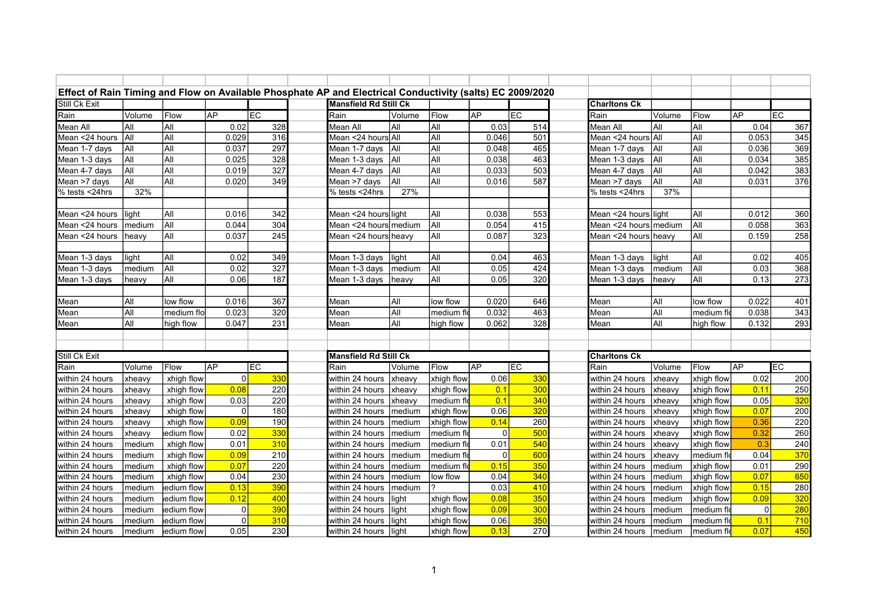| Effect of Rain Timing and Flow on Available Phosphate AP and Electrical Conductivity (salts) EC 2009/2020 |             |                  |           |            |          |                              |               |            |           |                 |                       |                |             |             |                  |
|-----------------------------------------------------------------------------------------------------------|-------------|------------------|-----------|------------|----------|------------------------------|---------------|------------|-----------|-----------------|-----------------------|----------------|-------------|-------------|------------------|
| Still Ck Exit                                                                                             |             |                  |           |            |          | <b>Mansfield Rd Still Ck</b> |               |            |           |                 | <b>Charltons Ck</b>   |                |             |             |                  |
| Rain                                                                                                      | Volume      | Flow             | <b>AP</b> | <b>IEC</b> | Rain     |                              | Volume        | Flow       | <b>AP</b> | <b>IEC</b>      | Rain                  | Volume         | Flow        | <b>AP</b>   | FC               |
| <b>Mean All</b>                                                                                           | All         | <b>All</b>       | 0.02      | 328        | Mean All |                              | All           | All        | 0.03      | 514             | Mean All              | All            | İAII        | 0.04        | 367              |
| Mean <24 hours                                                                                            | <b>A</b> ll | All              | 0.029     | 316        |          | Mean <24 hours All           |               | All        | 0.046     | 501             | Mean <24 hours All    |                | İAll        | 0.053       | $\overline{345}$ |
| Mean 1-7 days                                                                                             | All         | All              | 0.037     | 297        |          | Mean 1-7 days                | İAII          | All        | 0.048     | 465             | Mean 1-7 days         | <b>A</b> ll    | İAII        | 0.036       | 369              |
| Mean 1-3 days                                                                                             | All         | All              | 0.025     | 328        |          | Mean 1-3 days                | <b>A</b> ll   | All        | 0.038     | 463             | Mean 1-3 days         | <b>A</b> ll    | İAII        | 0.034       | 385              |
| Mean 4-7 days                                                                                             | All         | All              | 0.019     | 327        |          | Mean 4-7 days                | <b>AII</b>    | All        | 0.033     | 503             | Mean 4-7 days         | İAII           | İAII        | 0.042       | 383              |
| Mean >7 days                                                                                              | All         | $\overline{All}$ | 0.020     | 349        |          | Mean >7 days                 | All           | All        | 0.016     | 587             | Mean >7 days          | <b>A</b> ll    | All         | 0.031       | 376              |
| % tests <24hrs                                                                                            | 32%         |                  |           |            |          | % tests <24hrs               | 27%           |            |           |                 | % tests <24hrs        | 37%            |             |             |                  |
|                                                                                                           |             |                  |           |            |          |                              |               |            |           |                 |                       |                |             |             |                  |
| Mean <24 hours                                                                                            | llight      | All              | 0.016     | 342        |          | Mean <24 hours light         |               | All        | 0.038     | 553             | Mean <24 hours light  |                | İAII        | 0.012       | 360              |
| Mean <24 hours                                                                                            | medium      | All              | 0.044     | 304        |          | Mean <24 hours medium        |               | All        | 0.054     | 415             | Mean <24 hoursImedium |                | İAll        | 0.058       | 363              |
| Mean <24 hours                                                                                            | heavy       | All              | 0.037     | 245        |          | Mean <24 hours heavy         |               | All        | 0.087     | 323             | Mean <24 hours heavv  |                | İAII        | 0.159       | 258              |
|                                                                                                           |             |                  |           |            |          |                              |               |            |           |                 |                       |                |             |             |                  |
| Mean 1-3 days                                                                                             | light       | All              | 0.02      | 349        |          | Mean 1-3 days                | light         | All        | 0.04      | 463             | Mean 1-3 days         | light          | İAII        | 0.02        | 405              |
| Mean 1-3 days                                                                                             | medium      | All              | 0.02      | 327        |          | Mean 1-3 days                | medium        | All        | 0.05      | 424             | Mean 1-3 days         | medium         | İAII        | 0.03        | 368              |
| Mean 1-3 days                                                                                             | heavy       | All              | 0.06      | 187        |          | Mean 1-3 days                | <b>Iheavv</b> | All        | 0.05      | 320             | Mean 1-3 days         | heavy          | İAII        | 0.13        | 273              |
|                                                                                                           |             |                  |           |            |          |                              |               |            |           |                 |                       |                |             |             |                  |
| Mean                                                                                                      | All         | low flow         | 0.016     | 367        | Mean     |                              | All           | low flow   | 0.020     | 646             | Mean                  | İAII           | low flow    | 0.022       | 401              |
| Mean                                                                                                      | All         | medium flo       | 0.023     | 320        | Mean     |                              | All           | medium fl  | 0.032     | 463             | Mean                  | İAII           | medium fl   | 0.038       | 343              |
| Mean                                                                                                      | All         | high flow        | 0.047     | 231        | Mean     |                              | All           | high flow  | 0.062     | 328             | Mean                  | İAII           | high flow   | 0.132       | 293              |
|                                                                                                           |             |                  |           |            |          |                              |               |            |           |                 |                       |                |             |             |                  |
|                                                                                                           |             |                  |           |            |          |                              |               |            |           |                 |                       |                |             |             |                  |
| Still Ck Exit                                                                                             |             |                  |           |            |          | Mansfield Rd Still Ck        |               |            |           |                 | <b>Charltons Ck</b>   |                |             |             |                  |
| Rain                                                                                                      | Volume      | Flow             | <b>AP</b> | <b>IEC</b> | Rain     |                              | Volume        | Flow       | <b>AP</b> | E               | Rain                  | Volume         | Flow        | <b>AP</b>   | lec              |
| within 24 hours                                                                                           | xheavy      | xhigh flow       | 0         | 330        |          | within 24 hours              | xheavy        | xhigh flow | 0.06      | 330             | within 24 hours       | xheavy         | xhigh flow  | 0.02        | 200              |
| within 24 hours                                                                                           | xheavy      | xhigh flow       | 0.08      | 220        |          | within 24 hours              | xheavy        | xhigh flow | 0.1       | 30 <sub>C</sub> | within 24 hours       | xheavy         | xhigh flow  | 0.11        | 250              |
| within 24 hours                                                                                           | xheavy      | xhigh flow       | 0.03      | 220        |          | within 24 hours              | xheavy        | medium fld | 0.1       | 340             | within 24 hours       | xheavy         | xhigh flow  | 0.05        | 320              |
| within 24 hours                                                                                           | xheavy      | xhigh flow       | $\Omega$  | 180        |          | within 24 hours              | medium        | xhigh flow | 0.06      | 32C             | within 24 hours       | xheavy         | xhigh flow  | 0.07        | 200              |
| within 24 hours                                                                                           | xheavy      | xhigh flow       | 0.09      | 190        |          | within 24 hours              | medium        | xhigh flow | 0.14      | 260             | within 24 hours       | xheavy         | xhigh flow  | 0.36        | 220              |
| within 24 hours                                                                                           | xheavy      | edium flow       | 0.02      | 330        |          | within 24 hours              | medium        | medium flo | 0         | 500             | within 24 hours       | xheavy         | xhigh flow  | 0.32        | 260              |
| within 24 hours                                                                                           | medium      | xhigh flow       | 0.01      | 310        |          | within 24 hours              | medium        | medium fld | 0.01      | 540             | within 24 hours       | xheavy         | xhigh flow  | 0.3         | 240              |
| within 24 hours                                                                                           | medium      | xhigh flow       | 0.09      | 210        |          | within 24 hours              | medium        | medium flo | $\Omega$  | 60 <sub>C</sub> | within 24 hours       | xheavy         | medium fl   | 0.04        | 370              |
| within 24 hours                                                                                           | medium      | xhigh flow       | 0.07      | 220        |          | within 24 hours              | medium        | medium flo | 0.15      | 35C             | within 24 hours       | medium         | xhigh flow  | 0.01        | 290              |
| within 24 hours                                                                                           | medium      | xhigh flow       | 0.04      | 230        |          | within 24 hours              | medium        | low flow   | 0.04      | 340             | within 24 hours       | medium         | xhigh flow  | 0.07        | 650              |
| within 24 hours                                                                                           | medium      | edium flow       | 0.13      | 390        |          | within 24 hours              | medium        |            | 0.03      | 410             | within 24 hours       | medium         | xhigh flow  | 0.15        | 280              |
| within 24 hours                                                                                           | medium      | edium flow       | 0.12      | 400        |          | within 24 hours              | light         | xhigh flow | 0.08      | 350             | within 24 hours       | medium         | xhigh flow  | 0.09        | 320              |
| within 24 hours                                                                                           | medium      | edium flow       | 0         | 390        |          | within 24 hours              | light         | xhigh flow | 0.09      | 300             | within 24 hours       | medium         | ∣medium fl  | $\mathbf 0$ | 280              |
| within 24 hours                                                                                           | medium      | edium flow       | 0         | 310        |          | within 24 hours              | light         | xhigh flow | 0.06      | 350             | within 24 hours       | medium         | medium flo  | 0.1         | 710              |
| within 24 hours                                                                                           | medium      | edium flow       | 0.05      | 230        |          | within 24 hours              | light         | xhigh flow | 0.13      | 270             | within 24 hours       | <b>Imedium</b> | ∣medium flo | 0.07        | 450              |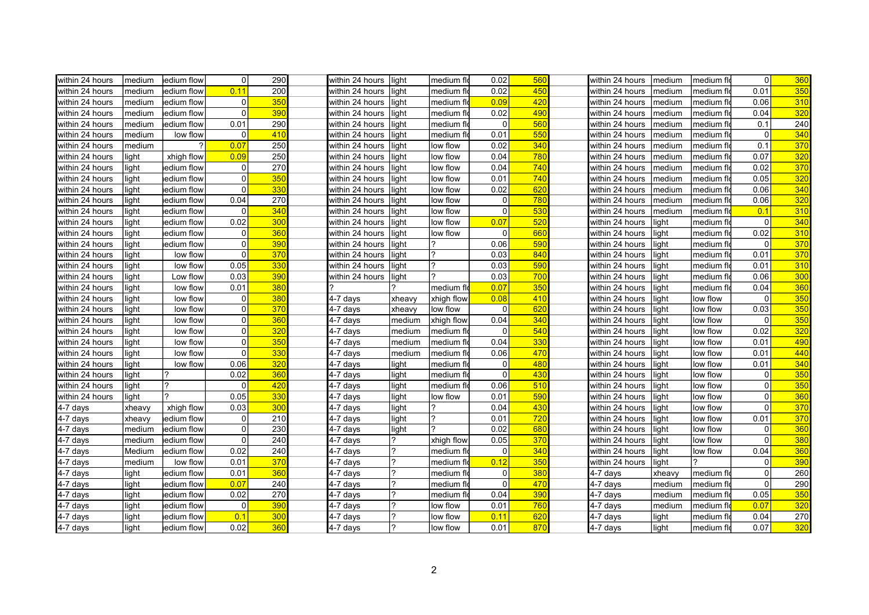| within 24 hours | medium | edium flow          | $\mathbf 0$  | 290 | within 24 hours | llight         | medium flo | 0.02           | 560             | within 24 hours | medium | medium flo          | $\overline{0}$ | 360 |
|-----------------|--------|---------------------|--------------|-----|-----------------|----------------|------------|----------------|-----------------|-----------------|--------|---------------------|----------------|-----|
| within 24 hours | medium | <b>l</b> edium flow | 0.11         | 200 | within 24 hours | light          | medium flo | 0.02           | 450             | within 24 hours | medium | Imedium fl          | 0.01           | 350 |
| within 24 hours | medium | edium flow          | 0            | 350 | within 24 hours | light          | medium flo | 0.09           | 420             | within 24 hours | medium | medium fl           | 0.06           | 310 |
| within 24 hours | medium | ledium flow         | $\mathbf{0}$ | 390 | within 24 hours | ight           | medium flo | 0.02           | 490             | within 24 hours | medium | lmedium flo         | 0.04           | 320 |
| within 24 hours | medium | edium flow          | 0.01         | 290 | within 24 hours | ight           | medium flo | $\Omega$       | 560             | within 24 hours | medium | medium fl           | 0.1            | 240 |
| within 24 hours | medium | low flow            | $\Omega$     | 410 | within 24 hours | light          | medium flo | 0.01           | 550             | within 24 hours | medium | medium fle          | $\Omega$       | 340 |
| within 24 hours | medium | ?                   | 0.07         | 250 | within 24 hours | light          | low flow   | 0.02           | 340             | within 24 hours | medium | medium fle          | 0.1            | 370 |
| within 24 hours | light  | xhigh flow          | 0.09         | 250 | within 24 hours | light          | low flow   | 0.04           | 780             | within 24 hours | medium | medium flo          | 0.07           | 320 |
| within 24 hours | light  | edium flow          | $\mathbf 0$  | 270 | within 24 hours | light          | low flow   | 0.04           | 740             | within 24 hours | medium | medium flo          | 0.02           | 370 |
| within 24 hours | light  | edium flow          | $\mathbf 0$  | 350 | within 24 hours | light          | low flow   | 0.01           | 740             | within 24 hours | medium | medium fle          | 0.05           | 320 |
| within 24 hours | light  | edium flow          | $\mathbf 0$  | 330 | within 24 hours | light          | low flow   | 0.02           | 620             | within 24 hours | medium | medium flo          | 0.06           | 340 |
| within 24 hours | light  | ledium flow         | 0.04         | 270 | within 24 hours | light          | low flow   | 0              | 780             | within 24 hours | medium | medium flo          | 0.06           | 320 |
| within 24 hours | light  | edium flow          | $\mathbf{0}$ | 340 | within 24 hours | ight           | low flow   | $\Omega$       | 530             | within 24 hours | medium | ∣medium flḋ         | 0.1            | 310 |
| within 24 hours | light  | ledium flow         | 0.02         | 300 | within 24 hours | light          | low flow   | 0.07           | 520             | within 24 hours | light  | medium flo          | 0              | 340 |
| within 24 hours | light  | edium flow          | 0            | 360 | within 24 hours | light          | low flow   | $\Omega$       | 660             | within 24 hours | light  | ∣medium fl          | 0.02           | 310 |
| within 24 hours | light  | ledium flow         | $\mathbf{0}$ | 390 | within 24 hours | light          |            | 0.06           | 590             | within 24 hours | light  | medium flo          | $\Omega$       | 370 |
| within 24 hours | light  | low flow            | $\mathbf{0}$ | 370 | within 24 hours | light          |            | 0.03           | 840             | within 24 hours | light  | medium fld          | 0.01           | 370 |
| within 24 hours | light  | low flow            | 0.05         | 330 | within 24 hours | light          | ?          | 0.03           | 590             | within 24 hours | light  | medium flo          | 0.01           | 310 |
| within 24 hours | light  | Low flow            | 0.03         | 390 | within 24 hours | light          |            | 0.03           | 700             | within 24 hours | light  | medium flo          | 0.06           | 300 |
| within 24 hours | light  | low flow            | 0.01         | 380 |                 | $\overline{2}$ | medium flo | 0.07           | 350             | within 24 hours | light  | ∣medium fl          | 0.04           | 360 |
| within 24 hours | light  | low flow            | $\mathbf{0}$ | 380 | 4-7 days        | xheavy         | xhigh flow | 0.08           | 410             | within 24 hours | light  | low flow            | 0              | 350 |
| within 24 hours | light  | low flow            | $\mathbf 0$  | 370 | 4-7 days        | xheavy         | low flow   | $\Omega$       | 620             | within 24 hours | light  | low flow            | 0.03           | 350 |
| within 24 hours | light  | low flow            | $\mathbf 0$  | 360 | 4-7 days        | medium         | xhigh flow | 0.04           | 340             | within 24 hours | light  | low flow            | 0              | 350 |
| within 24 hours | light  | low flow            | $\mathbf{0}$ | 320 | 4-7 days        | medium         | medium flo | $\Omega$       | 540             | within 24 hours | light  | low flow            | 0.02           | 320 |
| within 24 hours | light  | low flow            | $\mathbf{0}$ | 350 | 4-7 days        | medium         | medium flo | 0.04           | 330             | within 24 hours | light  | low flow            | 0.01           | 490 |
| within 24 hours | light  | low flow            | $\mathbf{0}$ | 330 | 4-7 days        | medium         | medium flo | 0.06           | 470             | within 24 hours | light  | low flow            | 0.01           | 440 |
| within 24 hours | light  | low flow            | 0.06         | 320 | 4-7 days        | light          | medium flo | $\Omega$       | 480             | within 24 hours | light  | llow flow           | 0.01           | 340 |
| within 24 hours | light  |                     | 0.02         | 360 | 4-7 days        | light          | medium flo | $\Omega$       | 430             | within 24 hours | light  | low flow            | $\mathbf 0$    | 350 |
| within 24 hours | light  | 12                  | $\Omega$     | 420 | 4-7 days        | light          | medium flo | 0.06           | 510             | within 24 hours | light  | low flow            | $\mathbf 0$    | 350 |
| within 24 hours | light  | 2                   | 0.05         | 330 | 4-7 days        | light          | low flow   | 0.01           | 590             | within 24 hours | light  | low flow            | $\overline{0}$ | 360 |
| $4-7$ days      | xheavy | xhigh flow          | 0.03         | 300 | 4-7 days        | light          |            | 0.04           | 430             | within 24 hours | light  | low flow            | $\mathbf{0}$   | 370 |
| 4-7 days        | xheavy | edium flow          | $\mathbf{0}$ | 210 | 4-7 days        | light          |            | 0.01           | 720             | within 24 hours | light  | low flow            | 0.01           | 370 |
| 4-7 days        | medium | edium flow          | $\Omega$     | 230 | 4-7 days        | light          |            | 0.02           | 680             | within 24 hours | light  | low flow            | $\mathbf{0}$   | 360 |
| 4-7 days        | medium | ledium flow         | $\mathbf 0$  | 240 | 4-7 days        | ?              | xhigh flow | 0.05           | 370             | within 24 hours | light  | low flow            | $\mathbf{0}$   | 380 |
| 4-7 days        | Medium | edium flow          | 0.02         | 240 | 4-7 days        | 2              | medium fld | $\Omega$       | 340             | within 24 hours | light  | llow flow           | 0.04           | 360 |
| 4-7 days        | medium | low flow            | 0.01         | 370 | 4-7 days        | $\overline{?}$ | medium flo | 0.12           | 350             | within 24 hours | light  |                     | $\mathbf{0}$   | 390 |
| 4-7 days        | light  | edium flow          | 0.01         | 360 | 4-7 days        | $\overline{?}$ | medium fld | $\overline{0}$ | 380             | 4-7 days        | xheavy | medium flo          | 0              | 260 |
| $4-7$ days      | light  | edium flow          | 0.07         | 240 | 4-7 days        | $\overline{?}$ | medium flo | $\Omega$       | 470             | 4-7 days        | medium | ∣medium fl          | $\Omega$       | 290 |
| $4-7$ days      | light  | ledium flow         | 0.02         | 270 | 4-7 days        | ?              | medium flo | 0.04           | 39 <sub>C</sub> | 4-7 days        | medium | ∣medium fl          | 0.05           | 350 |
| 4-7 days        | light  | edium flow          | $\mathbf 0$  | 390 | 4-7 days        | 2              | low flow   | 0.01           | 760             | 4-7 days        | medium | ∣medium flḋ         | 0.07           | 320 |
| $4-7$ days      | light  | ledium flow         | 0.1          | 300 | 4-7 days        |                | low flow   | 0.11           | 620             | 4-7 days        | light  | medium fl           | 0.04           | 270 |
| 4-7 days        | light  | edium flow          | 0.02         | 360 | 4-7 days        |                | low flow   | 0.01           | 870             | 4-7 days        | light  | ∣medium fl <b>d</b> | 0.07           | 320 |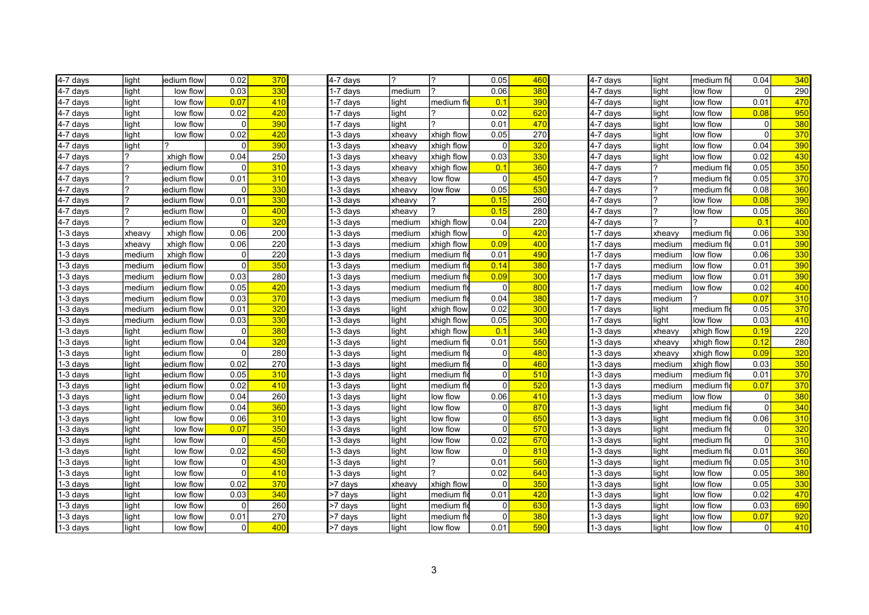| 4-7 days               | light  | ledium flow | 0.02           | 370             | 4-7 days               | 2      |            | 0.05           | 460             | 4-7 days               | light  | medium flo | 0.04           | 340              |
|------------------------|--------|-------------|----------------|-----------------|------------------------|--------|------------|----------------|-----------------|------------------------|--------|------------|----------------|------------------|
| 4-7 days               | light  | low flow    | 0.03           | 330             | 1-7 days               | medium | 2          | 0.06           | 380             | 4-7 days               | light  | low flow   | $\Omega$       | 290              |
| $4-7$ days             | light  | low flow    | 0.07           | 410             | 1-7 days               | light  | medium flo | 0.1            | 390             | 4-7 days               | light  | low flow   | 0.01           | 470              |
| $\overline{4}$ -7 days | light  | low flow    | 0.02           | 420             | 1-7 days               | light  |            | 0.02           | 620             | 4-7 days               | light  | low flow   | 0.08           | 950              |
| $4-7$ days             | light  | low flow    | 0              | 390             | 1-7 days               | light  |            | 0.01           | 470             | 4-7 days               | light  | low flow   | $\overline{0}$ | 380              |
| $4-7$ days             | light  | low flow    | 0.02           | 420             | 1-3 days               | xheavy | xhigh flow | 0.05           | 270             | 4-7 days               | light  | low flow   | $\Omega$       | 370              |
| $4-7$ days             | light  |             | 0              | 390             | 1-3 days               | xheavy | xhigh flow | $\overline{0}$ | 320             | 4-7 days               | light  | low flow   | 0.04           | 390              |
| 4-7 days               | 7      | xhigh flow  | 0.04           | 250             | 1-3 days               | xheavy | xhigh flow | 0.03           | 33 <sub>C</sub> | 4-7 days               | light  | low flow   | 0.02           | 430              |
| 4-7 days               | ?      | edium flow  | 0              | 310             | 1-3 days               | xheavy | xhigh flow | 0.1            | 360             | 4-7 days               | 1?     | medium fl  | 0.05           | 350              |
| $4-7$ days             | ?      | edium flow  | 0.01           | 310             | 1-3 days               | xheavy | low flow   | $\overline{0}$ | 450             | 4-7 days               |        | medium fl  | 0.05           | 370              |
| $4-7$ days             | 2      | edium flow  | 0              | 330             | 1-3 days               | xheavy | low flow   | 0.05           | 530             | $\overline{4}$ -7 days | 17     | medium flo | 0.08           | 360              |
| $4-7$ days             | ?      | edium flow  | 0.01           | 330             | $1-3$ days             | xheavy | 7          | 0.15           | 260             | 4-7 days               | 17     | low flow   | 0.08           | 390              |
| $\overline{4}$ -7 days | 2      | edium flow  | 0              | 40 <sub>0</sub> | 1-3 days               | xheavy |            | 0.15           | 280             | 4-7 days               | 2      | low flow   | 0.05           | 360              |
| $\overline{4}$ -7 days | 2      | edium flow  | $\Omega$       | 32 <sub>0</sub> | 1-3 days               | medium | xhigh flow | 0.04           | 220             | 4-7 days               | 12     |            | 0.1            | 400              |
| $1-3$ days             | xheavy | xhigh flow  | 0.06           | 200             | 1-3 days               | medium | xhigh flow | $\Omega$       | 420             | 1-7 days               | xheavy | medium fl  | 0.06           | 330              |
| $\sqrt{1-3}$ days      | xheavy | xhigh flow  | 0.06           | 220             | $1-3$ days             | medium | xhigh flow | 0.09           | 400             | 1-7 days               | medium | medium flo | 0.01           | 390              |
| $1-3$ days             | medium | xhigh flow  | 0              | 220             | 1-3 days               | medium | medium flo | 0.01           | 490             | $1-7$ days             | medium | low flow   | 0.06           | 330              |
| $1-3$ days             | medium | edium flow  | $\overline{0}$ | 35 <sub>0</sub> | 1-3 days               | medium | medium flo | 0.14           | 380             | $1-7$ days             | medium | low flow   | 0.01           | 390              |
| $1-3$ days             | medium | edium flow  | 0.03           | 280             | 1-3 days               | medium | medium fl  | 0.09           | 300             | 1-7 days               | medium | low flow   | 0.01           | 390              |
| $1-3$ days             | medium | edium flow  | 0.05           | 420             | 1-3 days               | medium | medium fl  | $\overline{0}$ | 800             | 1-7 days               | medium | low flow   | 0.02           | 400              |
| $1-3$ days             | medium | edium flow  | 0.03           | 370             | 1-3 days               | medium | medium fl  | 0.04           | 380             | 1-7 days               | medium |            | 0.07           | 310              |
| $1-3$ days             | medium | edium flow  | 0.01           | 320             | 1-3 days               | light  | xhigh flow | 0.02           | 300             | $1-7$ days             | light  | medium fl  | 0.05           | 370              |
| 1-3 days               | medium | edium flow  | 0.03           | 330             | 1-3 days               | light  | xhigh flow | 0.05           | 300             | 1-7 days               | light  | low flow   | 0.03           | 410              |
| $1-3$ days             | light  | edium flow  | $\Omega$       | 380             | 1-3 days               | light  | xhigh flow | 0.1            | 340             | 1-3 days               | xheavy | xhigh flow | 0.19           | 220              |
| 1-3 days               | light  | edium flow  | 0.04           | 320             | $\overline{1}$ -3 days | light  | medium flo | 0.01           | 550             | 1-3 days               | xheavy | xhigh flow | 0.12           | 280              |
| $1-3$ days             | light  | edium flow  | 0              | 280             | 1-3 days               | light  | medium flo | $\overline{0}$ | 480             | 1-3 days               | xheavy | xhigh flow | 0.09           | 320              |
| $1-3$ days             | light  | ledium flow | 0.02           | 270             | 1-3 days               | light  | medium fl  | $\overline{0}$ | 460             | 1-3 days               | medium | xhigh flow | 0.03           | 350              |
| $1-3$ days             | light  | edium flow  | 0.05           | 310             | 1-3 days               | light  | medium flo | $\overline{0}$ | 510             | 1-3 days               | medium | medium fl  | 0.01           | 370              |
| $1-3$ days             | light  | ledium flow | 0.02           | 410             | 1-3 days               | light  | medium fl  | $\overline{0}$ | 520             | 1-3 days               | medium | medium flo | 0.07           | 370              |
| $1-3$ days             | light  | ledium flow | 0.04           | 260             | 1-3 days               | light  | low flow   | 0.06           | 410             | $1-3$ days             | medium | low flow   | $\overline{0}$ | 380              |
| $1-3$ days             | light  | ledium flow | 0.04           | 360             | 1-3 days               | light  | low flow   | $\overline{0}$ | 870             | 1-3 days               | light  | medium fl  | $\overline{0}$ | $\overline{340}$ |
| $1-3$ days             | light  | low flow    | 0.06           | 310             | 1-3 days               | light  | ow flow    | $\overline{0}$ | 650             | 1-3 days               | light  | medium fl  | 0.06           | 310              |
| $1-3$ days             | light  | low flow    | 0.07           | 350             | 1-3 days               | light  | low flow   | $\Omega$       | 570             | 1-3 days               | light  | medium fl  | $\overline{0}$ | 320              |
| $1-3$ days             | light  | low flow    | 0              | 450             | 1-3 days               | light  | low flow   | 0.02           | 670             | $1-3$ days             | light  | medium flo | $\overline{0}$ | 310              |
| 1-3 days               | light  | low flow    | 0.02           | 450             | 1-3 days               | light  | low flow   | $\Omega$       | 810             | $1-3$ days             | light  | medium fl  | 0.01           | 360              |
| $1-3$ days             | light  | low flow    | 0              | 43 <sub>0</sub> | 1-3 days               | light  | 7          | 0.01           | 560             | $1-3$ days             | light  | medium fl  | 0.05           | 310              |
| $1-3$ days             | light  | low flow    | $\Omega$       | 410             | 1-3 days               | light  |            | 0.02           | 640             | 1-3 days               | light  | low flow   | 0.05           | 380              |
| $1-3$ days             | light  | low flow    | 0.02           | 370             | >7 days                | xheavy | xhigh flow | $\overline{0}$ | 350             | 1-3 days               | light  | low flow   | 0.05           | <b>330</b>       |
| $1-3$ days             | light  | low flow    | 0.03           | 340             | >7 days                | light  | medium flo | 0.01           | 420             | $1-3$ days             | light  | low flow   | 0.02           | 470              |
| $1-3$ days             | light  | low flow    | 0              | 260             | >7 days                | light  | medium flo | $\overline{0}$ | 630             | 1-3 days               | light  | low flow   | 0.03           | 690              |
| $1-3$ days             | light  | low flow    | 0.01           | 270             | >7 days                | light  | medium fl  | $\overline{0}$ | 380             | 1-3 days               | light  | low flow   | 0.07           | 920              |
| 1-3 days               | light  | low flow    | $\overline{0}$ | 400             | >7 days                | light  | low flow   | 0.01           | 590             | 1-3 days               | light  | low flow   | $\overline{0}$ | 410              |